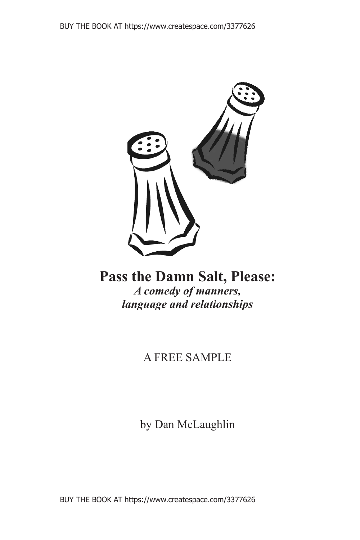

## **Pass the Damn Salt, Please:** *A comedy of manners, language and relationships*

## A FREE SAMPLE

by Dan McLaughlin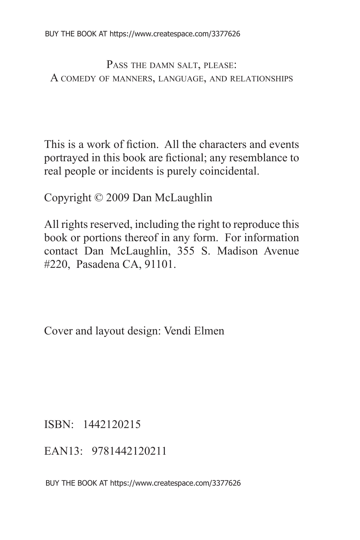PASS THE DAMN SALT, PLEASE: A COMEDY OF MANNERS, LANGUAGE, AND RELATIONSHIPS

This is a work of fiction. All the characters and events portrayed in this book are fictional; any resemblance to real people or incidents is purely coincidental.

Copyright © 2009 Dan McLaughlin

All rights reserved, including the right to reproduce this book or portions thereof in any form. For information contact Dan McLaughlin, 355 S. Madison Avenue #220, Pasadena CA, 91101.

Cover and layout design: Vendi Elmen

ISBN: 1442120215

EAN13: 9781442120211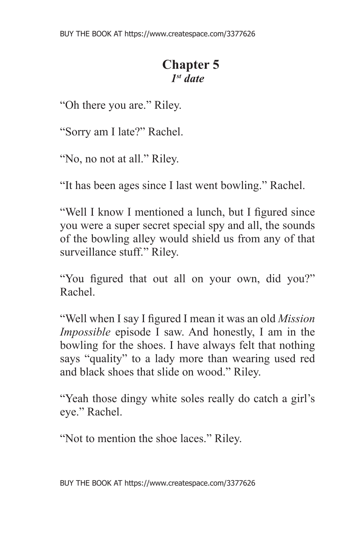## **Chapter 5** *1st date*

"Oh there you are." Riley.

"Sorry am I late?" Rachel.

"No, no not at all." Riley.

"It has been ages since I last went bowling." Rachel.

"Well I know I mentioned a lunch, but I figured since you were a super secret special spy and all, the sounds of the bowling alley would shield us from any of that surveillance stuff." Riley.

"You figured that out all on your own, did you?" Rachel.

"Well when I say I figured I mean it was an old *Mission Impossible* episode I saw. And honestly, I am in the bowling for the shoes. I have always felt that nothing says "quality" to a lady more than wearing used red and black shoes that slide on wood." Riley.

"Yeah those dingy white soles really do catch a girl's eye." Rachel.

"Not to mention the shoe laces." Riley.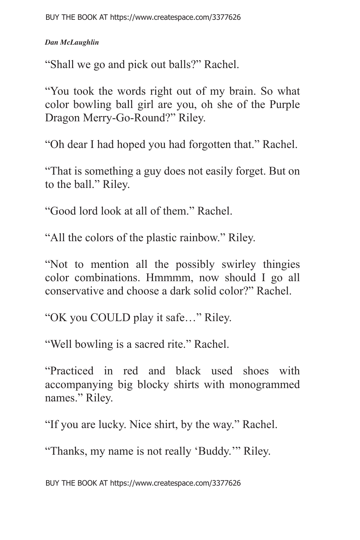"Shall we go and pick out balls?" Rachel.

"You took the words right out of my brain. So what color bowling ball girl are you, oh she of the Purple Dragon Merry-Go-Round?" Riley.

"Oh dear I had hoped you had forgotten that." Rachel.

"That is something a guy does not easily forget. But on to the ball." Riley.

"Good lord look at all of them." Rachel.

"All the colors of the plastic rainbow." Riley.

"Not to mention all the possibly swirley thingies color combinations. Hmmmm, now should I go all conservative and choose a dark solid color?" Rachel.

"OK you COULD play it safe…" Riley.

"Well bowling is a sacred rite." Rachel.

"Practiced in red and black used shoes with accompanying big blocky shirts with monogrammed names." Riley.

"If you are lucky. Nice shirt, by the way." Rachel.

"Thanks, my name is not really 'Buddy.'" Riley.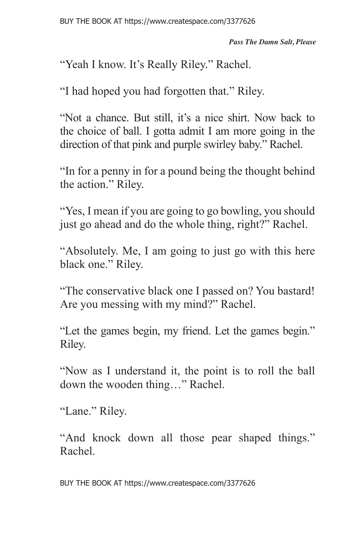"Yeah I know. It's Really Riley." Rachel.

"I had hoped you had forgotten that." Riley.

"Not a chance. But still, it's a nice shirt. Now back to the choice of ball. I gotta admit I am more going in the direction of that pink and purple swirley baby." Rachel.

"In for a penny in for a pound being the thought behind the action." Riley.

"Yes, I mean if you are going to go bowling, you should just go ahead and do the whole thing, right?" Rachel.

"Absolutely. Me, I am going to just go with this here black one." Riley.

"The conservative black one I passed on? You bastard! Are you messing with my mind?" Rachel.

"Let the games begin, my friend. Let the games begin." Riley.

"Now as I understand it, the point is to roll the ball down the wooden thing…" Rachel.

"Lane." Riley.

"And knock down all those pear shaped things." Rachel.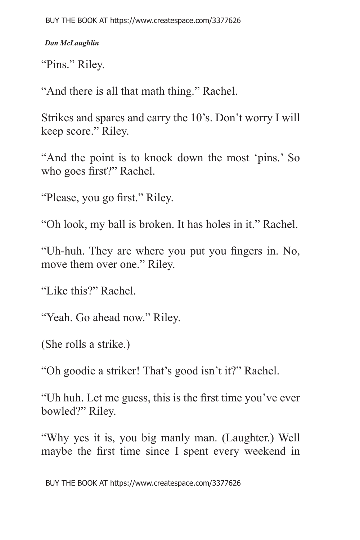BUY THE BOOK AT https://www.createspace.com/3377626

*Dan McLaughlin*

"Pins." Riley.

"And there is all that math thing." Rachel.

Strikes and spares and carry the 10's. Don't worry I will keep score." Riley.

"And the point is to knock down the most 'pins.' So who goes first?" Rachel.

"Please, you go first." Riley.

"Oh look, my ball is broken. It has holes in it." Rachel.

"Uh-huh. They are where you put you fingers in. No, move them over one." Riley.

"Like this?" Rachel.

"Yeah. Go ahead now." Riley.

(She rolls a strike.)

"Oh goodie a striker! That's good isn't it?" Rachel.

"Uh huh. Let me guess, this is the first time you've ever bowled?" Riley.

"Why yes it is, you big manly man. (Laughter.) Well maybe the first time since I spent every weekend in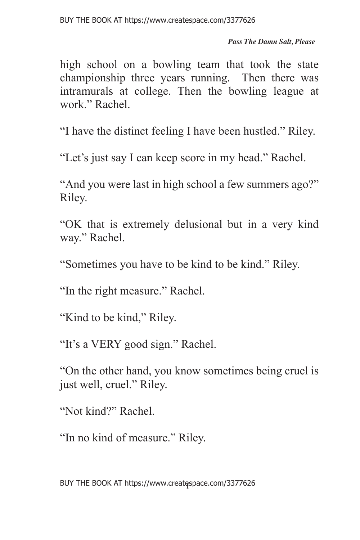*Pass The Damn Salt, Please*

high school on a bowling team that took the state championship three years running. Then there was intramurals at college. Then the bowling league at work." Rachel.

"I have the distinct feeling I have been hustled." Riley.

"Let's just say I can keep score in my head." Rachel.

"And you were last in high school a few summers ago?" Riley.

"OK that is extremely delusional but in a very kind way." Rachel.

"Sometimes you have to be kind to be kind." Riley.

"In the right measure." Rachel.

"Kind to be kind," Riley.

"It's a VERY good sign." Rachel.

"On the other hand, you know sometimes being cruel is just well, cruel." Riley.

"Not kind?" Rachel.

"In no kind of measure." Riley.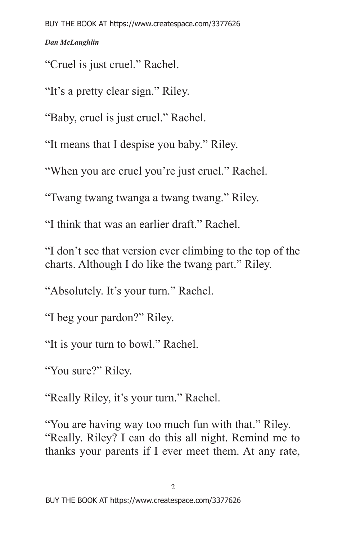"Cruel is just cruel." Rachel.

"It's a pretty clear sign." Riley.

"Baby, cruel is just cruel." Rachel.

"It means that I despise you baby." Riley.

"When you are cruel you're just cruel." Rachel.

"Twang twang twanga a twang twang." Riley.

"I think that was an earlier draft." Rachel.

"I don't see that version ever climbing to the top of the charts. Although I do like the twang part." Riley.

"Absolutely. It's your turn." Rachel.

"I beg your pardon?" Riley.

"It is your turn to bowl." Rachel.

"You sure?" Riley.

"Really Riley, it's your turn." Rachel.

"You are having way too much fun with that." Riley. "Really. Riley? I can do this all night. Remind me to thanks your parents if I ever meet them. At any rate,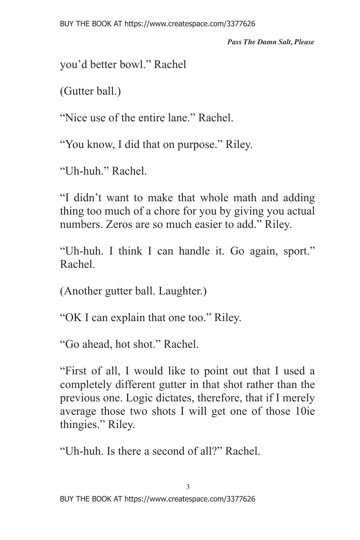*Pass The Damn Salt, Please*

you'd better bowl." Rachel

(Gutter ball.)

"Nice use of the entire lane." Rachel.

"You know, I did that on purpose." Riley.

"Uh-huh." Rachel.

"I didn't want to make that whole math and adding thing too much of a chore for you by giving you actual numbers. Zeros are so much easier to add." Riley.

"Uh-huh. I think I can handle it. Go again, sport." Rachel.

(Another gutter ball. Laughter.)

"OK I can explain that one too." Riley.

"Go ahead, hot shot." Rachel.

"First of all, I would like to point out that I used a completely different gutter in that shot rather than the previous one. Logic dictates, therefore, that if I merely average those two shots I will get one of those 10ie thingies." Riley.

"Uh-huh. Is there a second of all?" Rachel.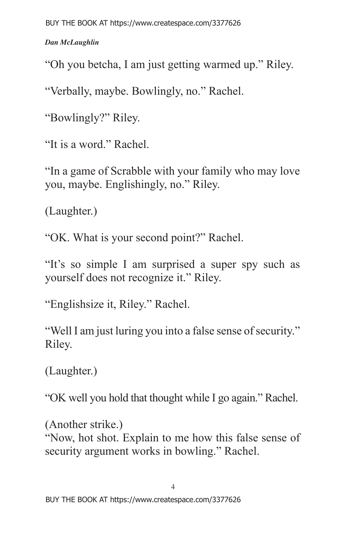"Oh you betcha, I am just getting warmed up." Riley.

"Verbally, maybe. Bowlingly, no." Rachel.

"Bowlingly?" Riley.

"It is a word." Rachel.

"In a game of Scrabble with your family who may love you, maybe. Englishingly, no." Riley.

(Laughter.)

"OK. What is your second point?" Rachel.

"It's so simple I am surprised a super spy such as yourself does not recognize it." Riley.

"Englishsize it, Riley." Rachel.

"Well I am just luring you into a false sense of security." Riley.

(Laughter.)

"OK well you hold that thought while I go again." Rachel.

(Another strike.) "Now, hot shot. Explain to me how this false sense of security argument works in bowling." Rachel.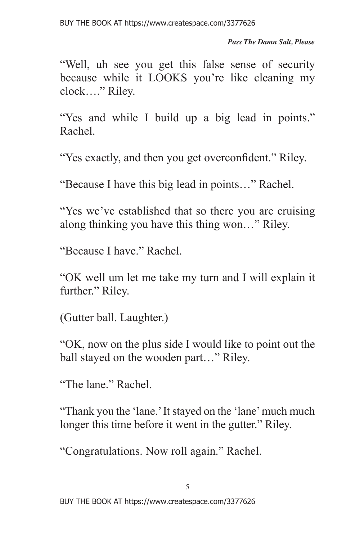*Pass The Damn Salt, Please*

"Well, uh see you get this false sense of security because while it LOOKS you're like cleaning my clock…." Riley.

"Yes and while I build up a big lead in points." Rachel.

"Yes exactly, and then you get overconfident." Riley.

"Because I have this big lead in points…" Rachel.

"Yes we've established that so there you are cruising along thinking you have this thing won…" Riley.

"Because I have." Rachel.

"OK well um let me take my turn and I will explain it further." Riley.

(Gutter ball. Laughter.)

"OK, now on the plus side I would like to point out the ball stayed on the wooden part…" Riley.

"The lane." Rachel.

"Thank you the 'lane.' It stayed on the 'lane' much much longer this time before it went in the gutter." Riley.

"Congratulations. Now roll again." Rachel.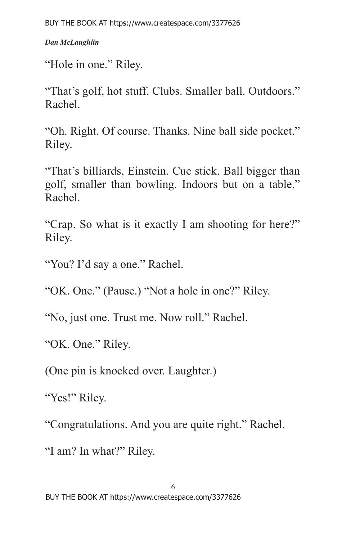BUY THE BOOK AT https://www.createspace.com/3377626

*Dan McLaughlin*

"Hole in one." Riley.

"That's golf, hot stuff. Clubs. Smaller ball. Outdoors." Rachel.

"Oh. Right. Of course. Thanks. Nine ball side pocket." Riley.

"That's billiards, Einstein. Cue stick. Ball bigger than golf, smaller than bowling. Indoors but on a table." Rachel.

"Crap. So what is it exactly I am shooting for here?" Riley.

"You? I'd say a one." Rachel.

"OK. One." (Pause.) "Not a hole in one?" Riley.

"No, just one. Trust me. Now roll." Rachel.

"OK. One." Riley.

(One pin is knocked over. Laughter.)

"Yes!" Riley.

"Congratulations. And you are quite right." Rachel.

"I am? In what?" Riley.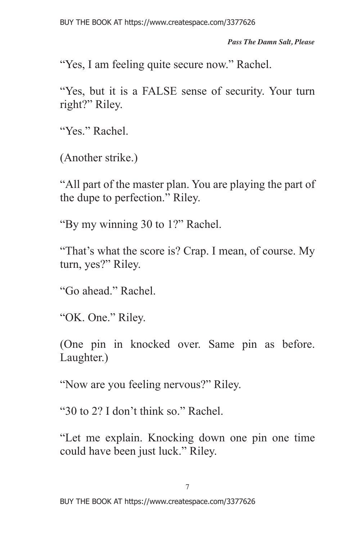*Pass The Damn Salt, Please*

"Yes, I am feeling quite secure now." Rachel.

"Yes, but it is a FALSE sense of security. Your turn right?" Riley.

"Yes." Rachel.

(Another strike.)

"All part of the master plan. You are playing the part of the dupe to perfection." Riley.

"By my winning 30 to 1?" Rachel.

"That's what the score is? Crap. I mean, of course. My turn, yes?" Riley.

"Go ahead." Rachel.

"OK. One." Riley.

(One pin in knocked over. Same pin as before. Laughter.)

"Now are you feeling nervous?" Riley.

"30 to 2? I don't think so." Rachel.

"Let me explain. Knocking down one pin one time could have been just luck." Riley.

7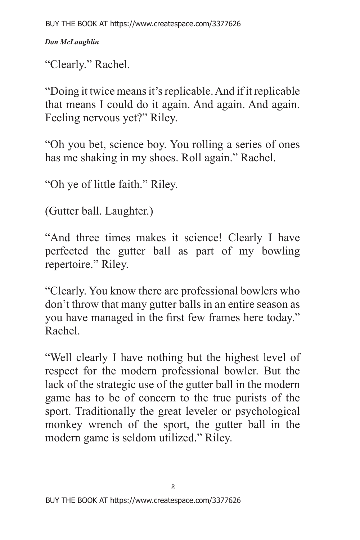"Clearly." Rachel.

"Doing it twice means it's replicable. And if it replicable that means I could do it again. And again. And again. Feeling nervous yet?" Riley.

"Oh you bet, science boy. You rolling a series of ones has me shaking in my shoes. Roll again." Rachel.

"Oh ye of little faith." Riley.

(Gutter ball. Laughter.)

"And three times makes it science! Clearly I have perfected the gutter ball as part of my bowling repertoire." Riley.

"Clearly. You know there are professional bowlers who don't throw that many gutter balls in an entire season as you have managed in the first few frames here today." Rachel.

"Well clearly I have nothing but the highest level of respect for the modern professional bowler. But the lack of the strategic use of the gutter ball in the modern game has to be of concern to the true purists of the sport. Traditionally the great leveler or psychological monkey wrench of the sport, the gutter ball in the modern game is seldom utilized." Riley.

8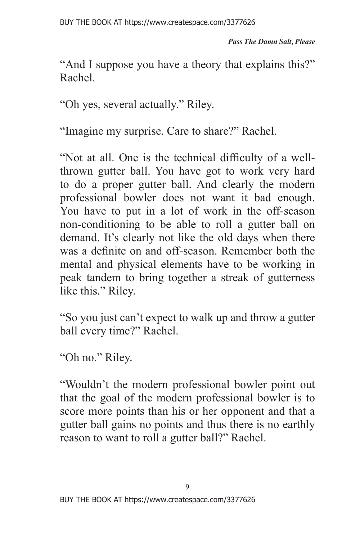"And I suppose you have a theory that explains this?" Rachel.

"Oh yes, several actually." Riley.

"Imagine my surprise. Care to share?" Rachel.

"Not at all. One is the technical difficulty of a wellthrown gutter ball. You have got to work very hard to do a proper gutter ball. And clearly the modern professional bowler does not want it bad enough. You have to put in a lot of work in the off-season non-conditioning to be able to roll a gutter ball on demand. It's clearly not like the old days when there was a definite on and off-season. Remember both the mental and physical elements have to be working in peak tandem to bring together a streak of gutterness like this." Riley.

"So you just can't expect to walk up and throw a gutter ball every time?" Rachel.

"Oh no." Riley.

"Wouldn't the modern professional bowler point out that the goal of the modern professional bowler is to score more points than his or her opponent and that a gutter ball gains no points and thus there is no earthly reason to want to roll a gutter ball?" Rachel.

 $\overline{Q}$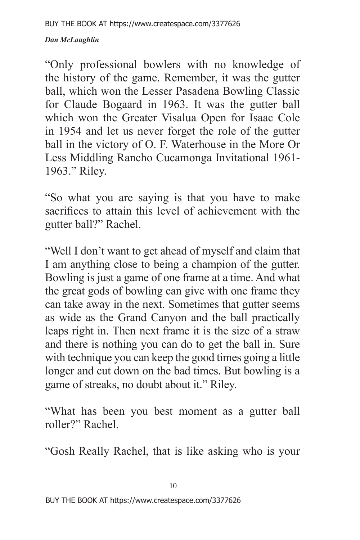"Only professional bowlers with no knowledge of the history of the game. Remember, it was the gutter ball, which won the Lesser Pasadena Bowling Classic for Claude Bogaard in 1963. It was the gutter ball which won the Greater Visalua Open for Isaac Cole in 1954 and let us never forget the role of the gutter ball in the victory of O. F. Waterhouse in the More Or Less Middling Rancho Cucamonga Invitational 1961- 1963." Riley.

"So what you are saying is that you have to make sacrifices to attain this level of achievement with the gutter ball?" Rachel.

"Well I don't want to get ahead of myself and claim that I am anything close to being a champion of the gutter. Bowling is just a game of one frame at a time. And what the great gods of bowling can give with one frame they can take away in the next. Sometimes that gutter seems as wide as the Grand Canyon and the ball practically leaps right in. Then next frame it is the size of a straw and there is nothing you can do to get the ball in. Sure with technique you can keep the good times going a little longer and cut down on the bad times. But bowling is a game of streaks, no doubt about it." Riley.

"What has been you best moment as a gutter ball roller?" Rachel.

"Gosh Really Rachel, that is like asking who is your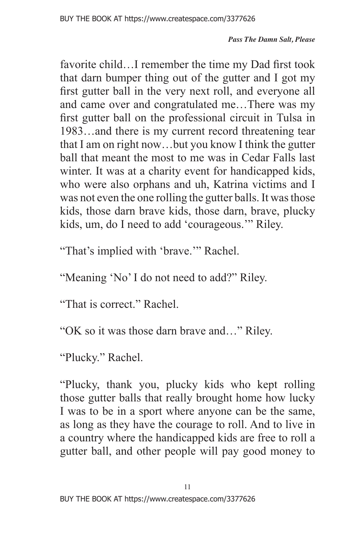favorite child…I remember the time my Dad first took that darn bumper thing out of the gutter and I got my first gutter ball in the very next roll, and everyone all and came over and congratulated me…There was my first gutter ball on the professional circuit in Tulsa in 1983…and there is my current record threatening tear that I am on right now…but you know I think the gutter ball that meant the most to me was in Cedar Falls last winter. It was at a charity event for handicapped kids, who were also orphans and uh, Katrina victims and I was not even the one rolling the gutter balls. It was those kids, those darn brave kids, those darn, brave, plucky kids, um, do I need to add 'courageous.'" Riley.

"That's implied with 'brave.'" Rachel.

"Meaning 'No' I do not need to add?" Riley.

"That is correct." Rachel.

"OK so it was those darn brave and…" Riley.

"Plucky." Rachel.

"Plucky, thank you, plucky kids who kept rolling those gutter balls that really brought home how lucky I was to be in a sport where anyone can be the same, as long as they have the courage to roll. And to live in a country where the handicapped kids are free to roll a gutter ball, and other people will pay good money to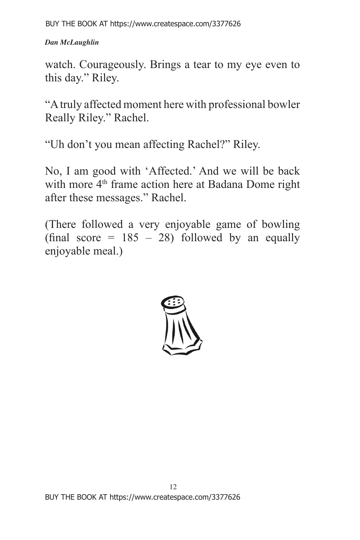BUY THE BOOK AT https://www.createspace.com/3377626

*Dan McLaughlin*

watch. Courageously. Brings a tear to my eye even to this day." Riley.

"A truly affected moment here with professional bowler Really Riley." Rachel.

"Uh don't you mean affecting Rachel?" Riley.

No, I am good with 'Affected.' And we will be back with more 4<sup>th</sup> frame action here at Badana Dome right after these messages." Rachel.

(There followed a very enjoyable game of bowling (final score =  $185 - 28$ ) followed by an equally enjoyable meal.)

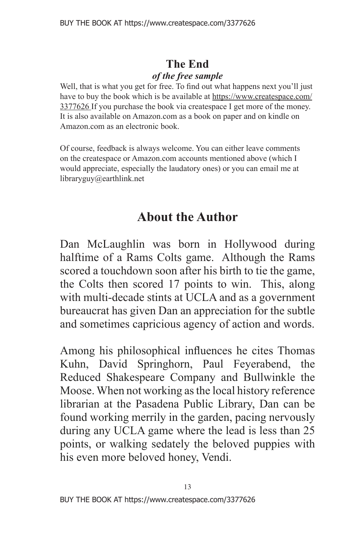### **The End**  *of the free sample*

Well, that is what you get for free. To find out what happens next you'll just have to buy the book which is be available at https://www.createspace.com/ 3377626 If you purchase the book via createspace I get more of the money. It is also available on Amazon.com as a book on paper and on kindle on Amazon.com as an electronic book.

Of course, feedback is always welcome. You can either leave comments on the createspace or Amazon.com accounts mentioned above (which I would appreciate, especially the laudatory ones) or you can email me at libraryguy@earthlink.net

# **About the Author**

Dan McLaughlin was born in Hollywood during halftime of a Rams Colts game. Although the Rams scored a touchdown soon after his birth to tie the game, the Colts then scored 17 points to win. This, along with multi-decade stints at UCLA and as a government bureaucrat has given Dan an appreciation for the subtle and sometimes capricious agency of action and words.

Among his philosophical influences he cites Thomas Kuhn, David Springhorn, Paul Feyerabend, the Reduced Shakespeare Company and Bullwinkle the Moose. When not working as the local history reference librarian at the Pasadena Public Library, Dan can be found working merrily in the garden, pacing nervously during any UCLA game where the lead is less than 25 points, or walking sedately the beloved puppies with his even more beloved honey, Vendi.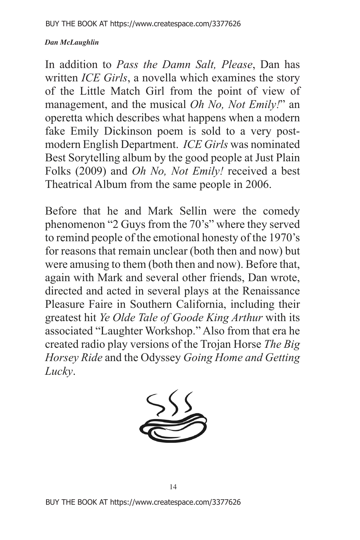In addition to *Pass the Damn Salt, Please*, Dan has written *ICE Girls*, a novella which examines the story of the Little Match Girl from the point of view of management, and the musical *Oh No, Not Emily!*" an operetta which describes what happens when a modern fake Emily Dickinson poem is sold to a very postmodern English Department. *ICE Girls* was nominated Best Sorytelling album by the good people at Just Plain Folks (2009) and *Oh No, Not Emily!* received a best Theatrical Album from the same people in 2006.

Before that he and Mark Sellin were the comedy phenomenon "2 Guys from the 70's" where they served to remind people of the emotional honesty of the 1970's for reasons that remain unclear (both then and now) but were amusing to them (both then and now). Before that, again with Mark and several other friends, Dan wrote, directed and acted in several plays at the Renaissance Pleasure Faire in Southern California, including their greatest hit *Ye Olde Tale of Goode King Arthur* with its associated "Laughter Workshop." Also from that era he created radio play versions of the Trojan Horse *The Big Horsey Ride* and the Odyssey *Going Home and Getting Lucky*.